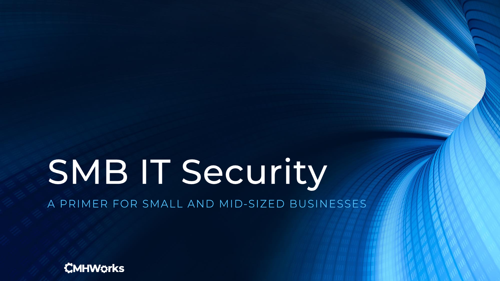# SMB IT Security

A PRIMER FOR SMALL AND MID-SIZED BUSINESSES

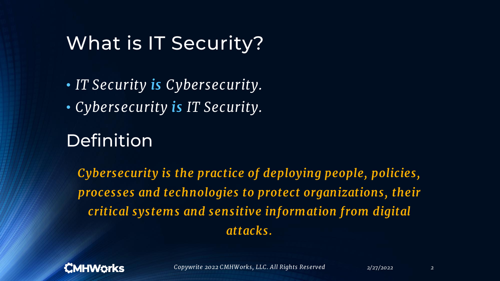#### What is IT Security?

• *IT Security is Cybersecurity.* • *Cybersecurity is IT Security.*

#### Definition

*Cybersecurity is the practice of deploying people, policies, processes and technologies to protect organizations, their critical systems and sensitive information from digital attacks.*

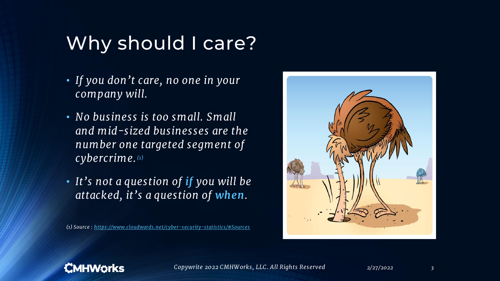# Why should I care?

- *If you don't care, no one in your company will.*
- *No business is too small. Small and mid-sized businesses are the number one targeted segment of cybercrime. (1)*
- *It's not a question of if you will be attacked, it's a question of when.*

*(1) Source : <https://www.cloudwards.net/cyber-security-statistics/#Sources>*



#### **CMHWörks**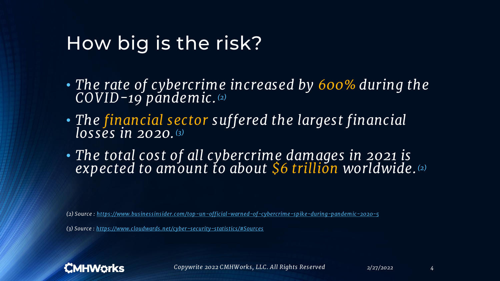#### How big is the risk?

- *The rate of cybercrime increased by 600% during the COVID-19 pandemic. (2)*
- *The financial sector suffered the largest financial losses in 2020. (3)*
- *The total cost of all cybercrime damages in 2021 is expected to amount to about \$6 trillion worldwide. (2)*

*(2) Source : <https://www.businessinsider.com/top-un-official-warned-of-cybercrime-spike-during-pandemic-2020-5>*

*(3) Source : <https://www.cloudwards.net/cyber-security-statistics/#Sources>*

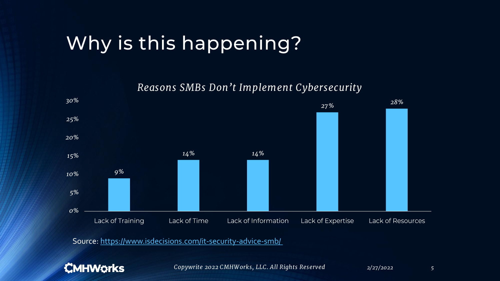# Why is this happening?

*Reasons SMBs Don't Implement Cybersecurity*



Source: <https://www.isdecisions.com/it-security-advice-smb/>

#### **CMHWorks**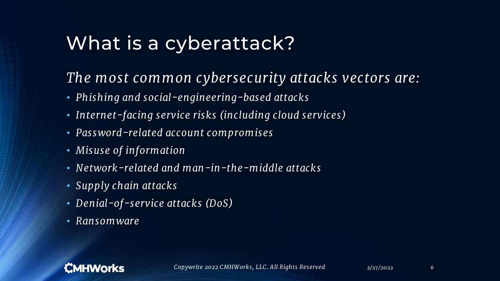# What is a cyberattack?

#### *The most common cybersecurity attacks vectors are:*

- *Phishing and social-engineering-based attacks*
- *Internet-facing service risks (including cloud services)*
- *Password-related account compromises*
- *Misuse of information*
- *Network-related and man-in-the-middle attacks*
- *Supply chain attacks*
- *Denial-of-service attacks (DoS)*
- *Ransomware*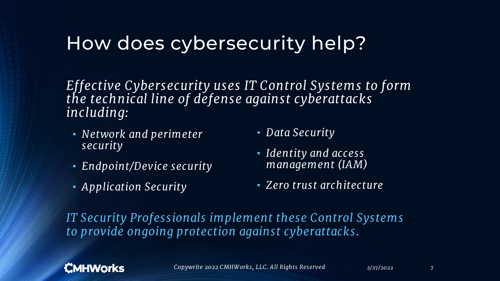## How does cybersecurity help?

*Effective Cybersecurity uses IT Control Systems to form the technical line of defense against cyberattacks including:*

- *Network and perimeter security*
- *Endpoint/Device security*
- *Application Security*
- *Data Security*
- *Identity and access management (IAM)*
- *Zero trust architecture*

*IT Security Professionals implement these Control Systems to provide ongoing protection against cyberattacks.*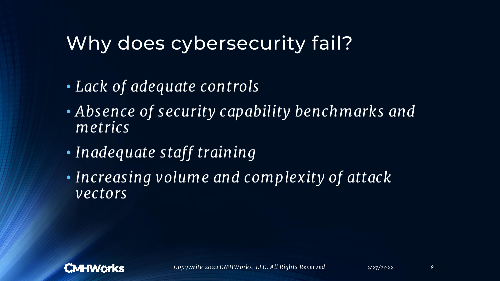# Why does cybersecurity fail?

- *Lack of adequate controls*
- *Absence of security capability benchmarks and metrics*
- *Inadequate staff training*
- *Increasing volume and complexity of attack vectors*

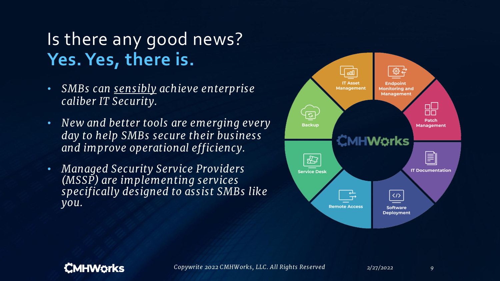## Is there any good news? **Yes. Yes, there is.**

- *SMBs can sensibly achieve enterprise caliber IT Security.*
- *New and better tools are emerging every day to help SMBs secure their business and improve operational efficiency.*
- *Managed Security Service Providers (MSSP) are implementing services specifically designed to assist SMBs like you.*



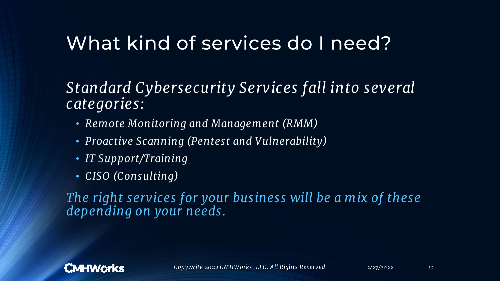#### What kind of services do I need?

#### *Standard Cybersecurity Services fall into several categories:*

- *Remote Monitoring and Management (RMM)*
- *Proactive Scanning (Pentest and Vulnerability)*
- *IT Support/Training*
- *CISO (Consulting)*

*The right services for your business will be a mix of these depending on your needs.*

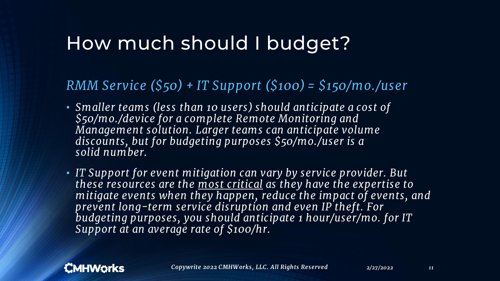### How much should I budget?

#### *RMM Service (\$50) + IT Support (\$100) = \$150/mo./user*

- *Smaller teams (less than 10 users) should anticipate a cost of \$50/mo./device for a complete Remote Monitoring and Management solution. Larger teams can anticipate volume discounts, but for budgeting purposes \$50/mo./user is a solid number.*
- *IT Support for event mitigation can vary by service provider. But these resources are the most critical as they have the expertise to mitigate events when they happen, reduce the impact of events, and prevent long-term service disruption and even IP theft. For budgeting purposes, you should anticipate 1 hour/user/mo. for IT Support at an average rate of \$100/hr.*

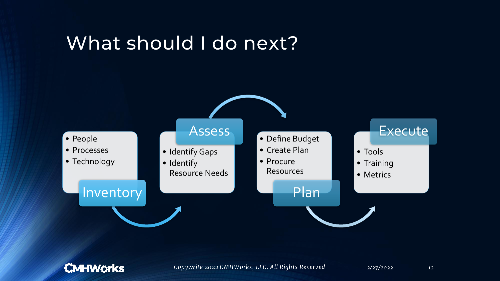#### What should I do next?

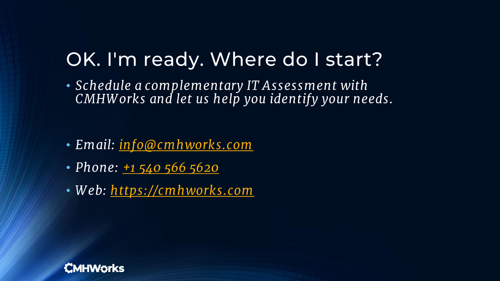# OK. I'm ready. Where do I start?

• *Schedule a complementary IT Assessment with CMHW orks and let us help you identify your needs.*

- *Email: [info@cmhworks.com](mailto:info@cmhworks.com)*
- *Phone: [+1 540 566 5620](tel:15405665620)*
- *W eb: <https://cmhworks.com>*